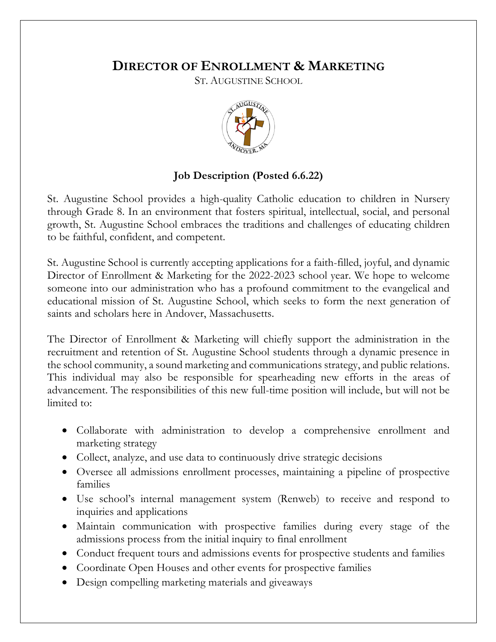## **DIRECTOR OF ENROLLMENT & MARKETING**

ST. AUGUSTINE SCHOOL



## **Job Description (Posted 6.6.22)**

St. Augustine School provides a high-quality Catholic education to children in Nursery through Grade 8. In an environment that fosters spiritual, intellectual, social, and personal growth, St. Augustine School embraces the traditions and challenges of educating children to be faithful, confident, and competent.

St. Augustine School is currently accepting applications for a faith-filled, joyful, and dynamic Director of Enrollment & Marketing for the 2022-2023 school year. We hope to welcome someone into our administration who has a profound commitment to the evangelical and educational mission of St. Augustine School, which seeks to form the next generation of saints and scholars here in Andover, Massachusetts.

The Director of Enrollment & Marketing will chiefly support the administration in the recruitment and retention of St. Augustine School students through a dynamic presence in the school community, a sound marketing and communications strategy, and public relations. This individual may also be responsible for spearheading new efforts in the areas of advancement. The responsibilities of this new full-time position will include, but will not be limited to:

- Collaborate with administration to develop a comprehensive enrollment and marketing strategy
- Collect, analyze, and use data to continuously drive strategic decisions
- Oversee all admissions enrollment processes, maintaining a pipeline of prospective families
- Use school's internal management system (Renweb) to receive and respond to inquiries and applications
- Maintain communication with prospective families during every stage of the admissions process from the initial inquiry to final enrollment
- Conduct frequent tours and admissions events for prospective students and families
- Coordinate Open Houses and other events for prospective families
- Design compelling marketing materials and giveaways